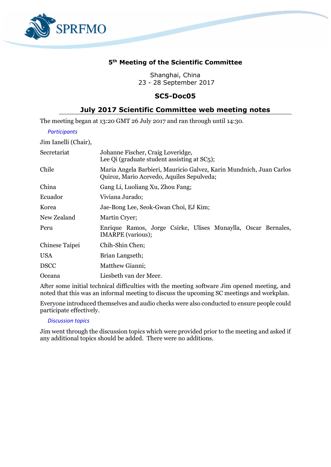

# **5 th Meeting of the Scientific Committee**

Shanghai, China 23 - 28 September 2017

## **SC5-Doc05**

## **July 2017 Scientific Committee web meeting notes**

The meeting began at 13:20 GMT 26 July 2017 and ran through until 14:30.

## *Participants*

Jim Ianelli (Chair),

| Secretariat    | Johanne Fischer, Craig Loveridge,<br>Lee Qi (graduate student assisting at SC5);                                 |
|----------------|------------------------------------------------------------------------------------------------------------------|
| Chile          | Maria Angela Barbieri, Mauricio Galvez, Karin Mundnich, Juan Carlos<br>Quiroz, Mario Acevedo, Aquiles Sepulveda; |
| China          | Gang Li, Luoliang Xu, Zhou Fang;                                                                                 |
| Ecuador        | Viviana Jurado;                                                                                                  |
| Korea          | Jae-Bong Lee, Seok-Gwan Choi, EJ Kim;                                                                            |
| New Zealand    | Martin Cryer;                                                                                                    |
| Peru           | Enrique Ramos, Jorge Csirke, Ulises Munaylla, Oscar Bernales,<br><b>IMARPE</b> (various);                        |
| Chinese Taipei | Chih-Shin Chen;                                                                                                  |
| USA            | Brian Langseth;                                                                                                  |
| <b>DSCC</b>    | Matthew Gianni;                                                                                                  |
| Oceana         | Liesbeth van der Meer.                                                                                           |

After some initial technical difficulties with the meeting software Jim opened meeting, and noted that this was an informal meeting to discuss the upcoming SC meetings and workplan.

Everyone introduced themselves and audio checks were also conducted to ensure people could participate effectively.

## *Discussion topics*

Jim went through the discussion topics which were provided prior to the meeting and asked if any additional topics should be added. There were no additions.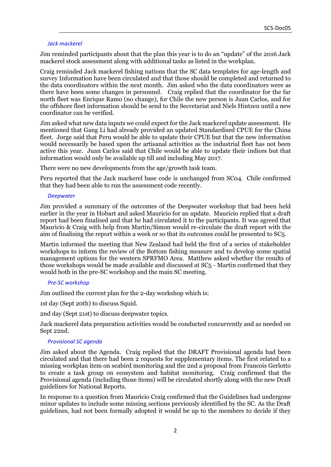### *Jack mackerel*

Jim reminded participants about that the plan this year is to do an "update" of the 2016 Jack mackerel stock assessment along with additional tasks as listed in the workplan.

Craig reminded Jack mackerel fishing nations that the SC data templates for age-length and survey Information have been circulated and that those should be completed and returned to the data coordinators within the next month. Jim asked who the data coordinators were as there have been some changes in personnel. Craig replied that the coordinator for the far north fleet was Enrique Ramo (no change), for Chile the new person is Juan Carlos, and for the offshore fleet information should be send to the Secretariat and Niels Hintzen until a new coordinator can be verified.

Jim asked what new data inputs we could expect for the Jack mackerel update assessment. He mentioned that Gang Li had already provided an updated Standardised CPUE for the China fleet. Jorge said that Peru would be able to update their CPUE but that the new information would necessarily be based upon the artisanal activities as the industrial fleet has not been active this year. Juan Carlos said that Chile would be able to update their indices but that information would only be available up till and including May 2017.

There were no new developments from the age/growth task team.

Peru reported that the Jack mackerel base code is unchanged from SC04. Chile confirmed that they had been able to run the assessment code recently.

### *Deepwater*

Jim provided a summary of the outcomes of the Deepwater workshop that had been held earlier in the year in Hobart and asked Mauricio for an update. Mauricio replied that a draft report had been finalised and that he had circulated it to the participants. It was agreed that Mauricio & Craig with help from Martin/Simon would re-circulate the draft report with the aim of finalising the report within a week or so that its outcomes could be presented to SC5.

Martin informed the meeting that New Zealand had held the first of a series of stakeholder workshops to inform the review of the Bottom fishing measure and to develop some spatial management options for the western SPRFMO Area. Matthew asked whether the results of those workshops would be made available and discussed at SC5 - Martin confirmed that they would both in the pre-SC workshop and the main SC meeting.

### *Pre-SC workshop*

Jim outlined the current plan for the 2-day workshop which is:

1st day (Sept 20th) to discuss Squid.

2nd day (Sept 21st) to discuss deepwater topics.

Jack mackerel data preparation activities would be conducted concurrently and as needed on Sept 22nd.

### *Provisional SC agenda*

Jim asked about the Agenda. Craig replied that the DRAFT Provisional agenda had been circulated and that there had been 2 requests for supplementary items. The first related to a missing workplan item on seabird monitoring and the 2nd a proposal from Francois Gerlotto to create a task group on ecosystem and habitat monitoring. Craig confirmed that the Provisional agenda (including those items) will be circulated shortly along with the new Draft guidelines for National Reports.

In response to a question from Mauricio Craig confirmed that the Guidelines had undergone minor updates to include some missing sections previously identified by the SC. As the Draft guidelines, had not been formally adopted it would be up to the members to decide if they